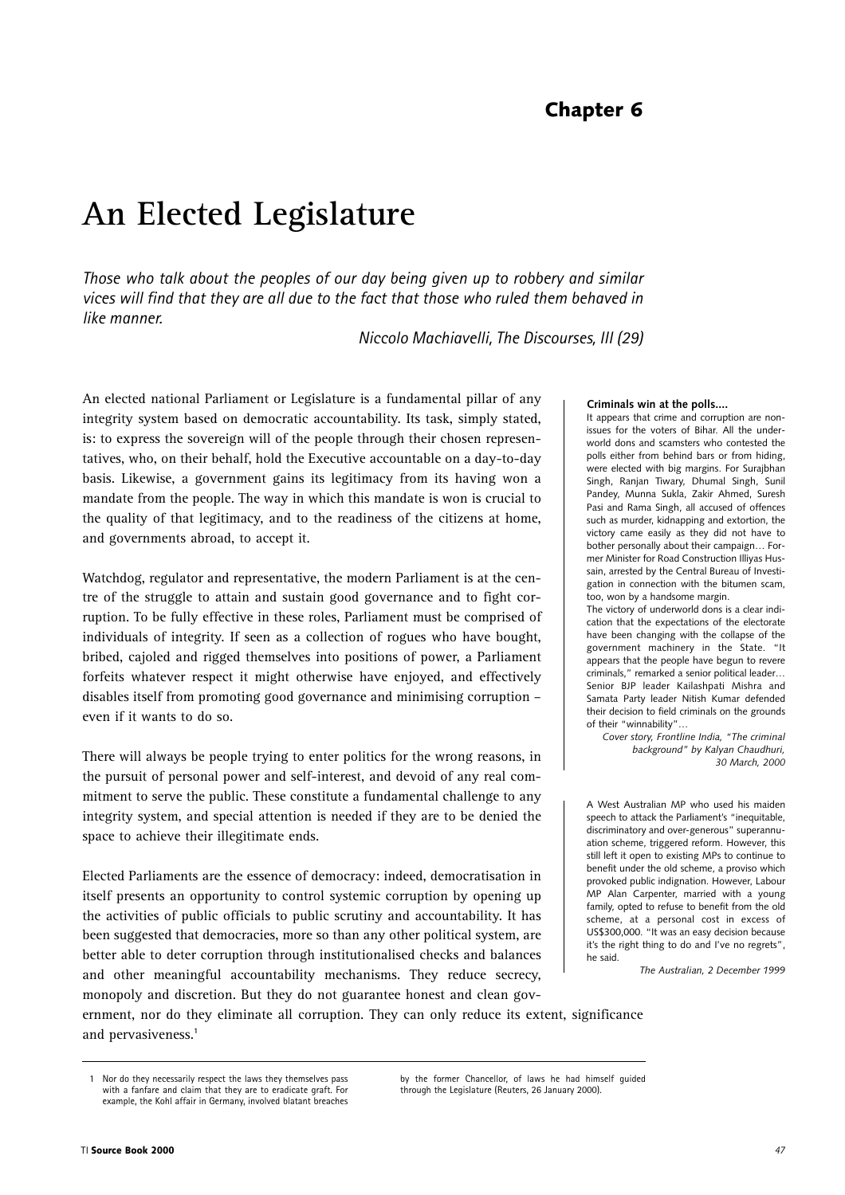# **Chapter 6**

# **An Elected Legislature**

*Those who talk about the peoples of our day being given up to robbery and similar vices will find that they are all due to the fact that those who ruled them behaved in like manner.* 

*Niccolo Machiavelli, The Discourses, III (29)*

An elected national Parliament or Legislature is a fundamental pillar of any integrity system based on democratic accountability. Its task, simply stated, is: to express the sovereign will of the people through their chosen representatives, who, on their behalf, hold the Executive accountable on a day-to-day basis. Likewise, a government gains its legitimacy from its having won a mandate from the people. The way in which this mandate is won is crucial to the quality of that legitimacy, and to the readiness of the citizens at home, and governments abroad, to accept it.

Watchdog, regulator and representative, the modern Parliament is at the centre of the struggle to attain and sustain good governance and to fight corruption. To be fully effective in these roles, Parliament must be comprised of individuals of integrity. If seen as a collection of rogues who have bought, bribed, cajoled and rigged themselves into positions of power, a Parliament forfeits whatever respect it might otherwise have enjoyed, and effectively disables itself from promoting good governance and minimising corruption – even if it wants to do so.

There will always be people trying to enter politics for the wrong reasons, in the pursuit of personal power and self-interest, and devoid of any real commitment to serve the public. These constitute a fundamental challenge to any integrity system, and special attention is needed if they are to be denied the space to achieve their illegitimate ends.

Elected Parliaments are the essence of democracy: indeed, democratisation in itself presents an opportunity to control systemic corruption by opening up the activities of public officials to public scrutiny and accountability. It has been suggested that democracies, more so than any other political system, are better able to deter corruption through institutionalised checks and balances and other meaningful accountability mechanisms. They reduce secrecy, monopoly and discretion. But they do not guarantee honest and clean gov-

#### **Criminals win at the polls....**

It appears that crime and corruption are nonissues for the voters of Bihar. All the underworld dons and scamsters who contested the polls either from behind bars or from hiding, were elected with big margins. For Surajbhan Singh, Ranjan Tiwary, Dhumal Singh, Sunil Pandey, Munna Sukla, Zakir Ahmed, Suresh Pasi and Rama Singh, all accused of offences such as murder, kidnapping and extortion, the victory came easily as they did not have to bother personally about their campaign… Former Minister for Road Construction Illiyas Hussain, arrested by the Central Bureau of Investigation in connection with the bitumen scam, too, won by a handsome margin.

The victory of underworld dons is a clear indication that the expectations of the electorate have been changing with the collapse of the government machinery in the State. "It appears that the people have begun to revere criminals," remarked a senior political leader… Senior BJP leader Kailashpati Mishra and Samata Party leader Nitish Kumar defended their decision to field criminals on the grounds of their "winnability"…

*Cover story, Frontline India, "The criminal background" by Kalyan Chaudhuri, 30 March, 2000*

A West Australian MP who used his maiden speech to attack the Parliament's "inequitable, discriminatory and over-generous" superannuation scheme, triggered reform. However, this still left it open to existing MPs to continue to benefit under the old scheme, a proviso which provoked public indignation. However, Labour MP Alan Carpenter, married with a young family, opted to refuse to benefit from the old scheme, at a personal cost in excess of US\$300,000. "It was an easy decision because it's the right thing to do and I've no regrets", he said.

*The Australian, 2 December 1999*

ernment, nor do they eliminate all corruption. They can only reduce its extent, significance and pervasiveness.**<sup>1</sup>**

by the former Chancellor, of laws he had himself guided through the Legislature (Reuters, 26 January 2000).

<sup>1</sup> Nor do they necessarily respect the laws they themselves pass with a fanfare and claim that they are to eradicate graft. For example, the Kohl affair in Germany, involved blatant breaches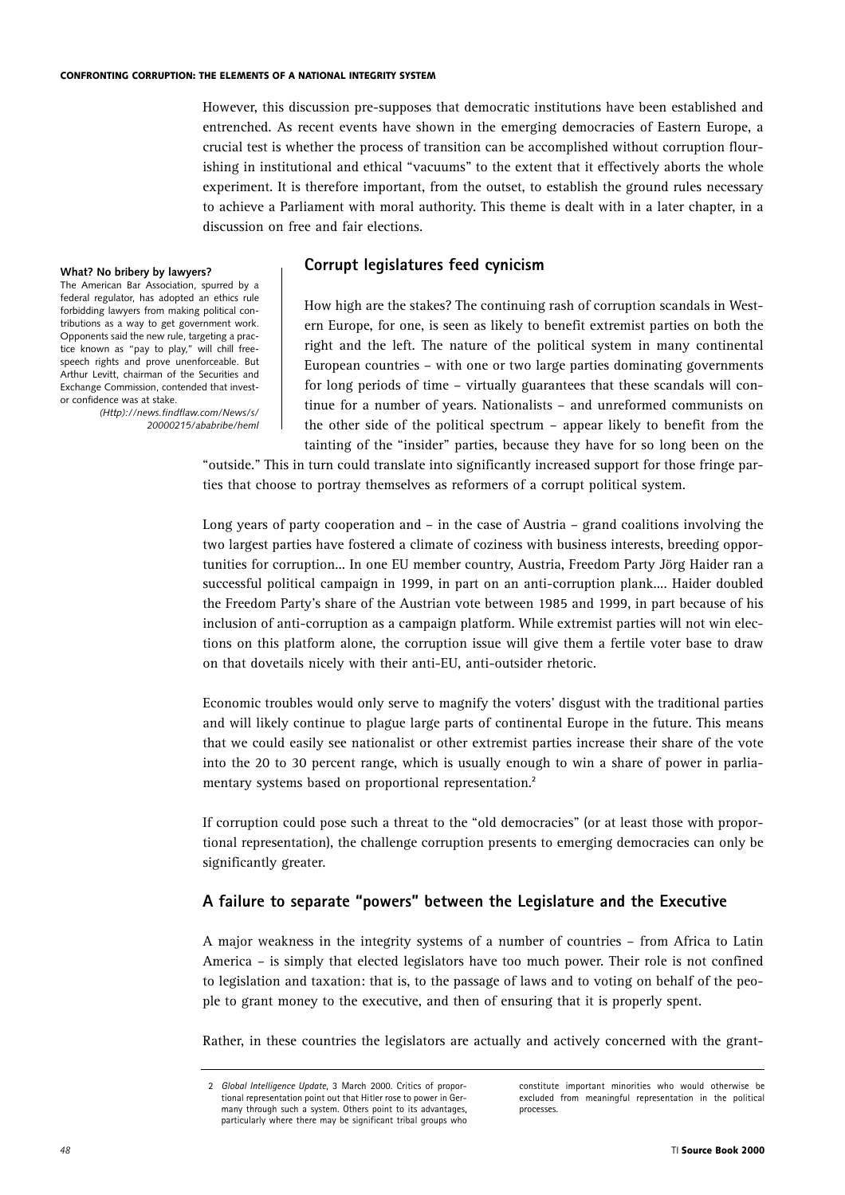However, this discussion pre-supposes that democratic institutions have been established and entrenched. As recent events have shown in the emerging democracies of Eastern Europe, a crucial test is whether the process of transition can be accomplished without corruption flourishing in institutional and ethical "vacuums" to the extent that it effectively aborts the whole experiment. It is therefore important, from the outset, to establish the ground rules necessary to achieve a Parliament with moral authority. This theme is dealt with in a later chapter, in a discussion on free and fair elections.

#### **What? No bribery by lawyers?**

The American Bar Association, spurred by a federal regulator, has adopted an ethics rule forbidding lawyers from making political contributions as a way to get government work. Opponents said the new rule, targeting a practice known as "pay to play," will chill freespeech rights and prove unenforceable. But Arthur Levitt, chairman of the Securities and Exchange Commission, contended that investor confidence was at stake.

> *(Http)://news.findflaw.com/News/s/ 20000215/ababribe/heml*

#### **Corrupt legislatures feed cynicism**

How high are the stakes? The continuing rash of corruption scandals in Western Europe, for one, is seen as likely to benefit extremist parties on both the right and the left. The nature of the political system in many continental European countries – with one or two large parties dominating governments for long periods of time – virtually guarantees that these scandals will continue for a number of years. Nationalists – and unreformed communists on the other side of the political spectrum – appear likely to benefit from the tainting of the "insider" parties, because they have for so long been on the

"outside." This in turn could translate into significantly increased support for those fringe parties that choose to portray themselves as reformers of a corrupt political system.

Long years of party cooperation and – in the case of Austria – grand coalitions involving the two largest parties have fostered a climate of coziness with business interests, breeding opportunities for corruption... In one EU member country, Austria, Freedom Party Jörg Haider ran a successful political campaign in 1999, in part on an anti-corruption plank.... Haider doubled the Freedom Party's share of the Austrian vote between 1985 and 1999, in part because of his inclusion of anti-corruption as a campaign platform. While extremist parties will not win elections on this platform alone, the corruption issue will give them a fertile voter base to draw on that dovetails nicely with their anti-EU, anti-outsider rhetoric.

Economic troubles would only serve to magnify the voters' disgust with the traditional parties and will likely continue to plague large parts of continental Europe in the future. This means that we could easily see nationalist or other extremist parties increase their share of the vote into the 20 to 30 percent range, which is usually enough to win a share of power in parliamentary systems based on proportional representation.**<sup>2</sup>**

If corruption could pose such a threat to the "old democracies" (or at least those with proportional representation), the challenge corruption presents to emerging democracies can only be significantly greater.

# **A failure to separate "powers" between the Legislature and the Executive**

A major weakness in the integrity systems of a number of countries – from Africa to Latin America – is simply that elected legislators have too much power. Their role is not confined to legislation and taxation: that is, to the passage of laws and to voting on behalf of the people to grant money to the executive, and then of ensuring that it is properly spent.

Rather, in these countries the legislators are actually and actively concerned with the grant-

constitute important minorities who would otherwise be excluded from meaningful representation in the political processes.

<sup>2</sup> *Global Intelligence Update*, 3 March 2000. Critics of proportional representation point out that Hitler rose to power in Germany through such a system. Others point to its advantages particularly where there may be significant tribal groups who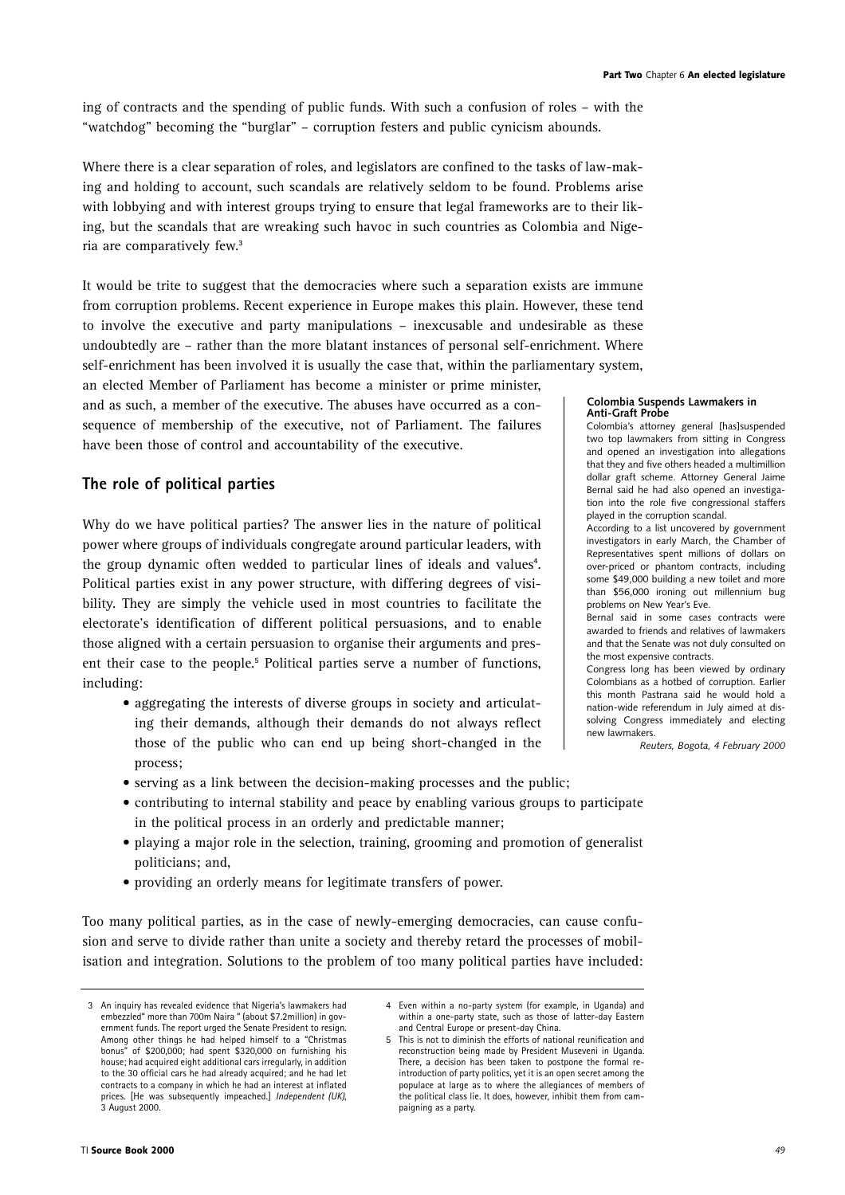ing of contracts and the spending of public funds. With such a confusion of roles – with the "watchdog" becoming the "burglar" – corruption festers and public cynicism abounds.

Where there is a clear separation of roles, and legislators are confined to the tasks of law-making and holding to account, such scandals are relatively seldom to be found. Problems arise with lobbying and with interest groups trying to ensure that legal frameworks are to their liking, but the scandals that are wreaking such havoc in such countries as Colombia and Nigeria are comparatively few.**<sup>3</sup>**

It would be trite to suggest that the democracies where such a separation exists are immune from corruption problems. Recent experience in Europe makes this plain. However, these tend to involve the executive and party manipulations – inexcusable and undesirable as these undoubtedly are – rather than the more blatant instances of personal self-enrichment. Where self-enrichment has been involved it is usually the case that, within the parliamentary system,

an elected Member of Parliament has become a minister or prime minister, and as such, a member of the executive. The abuses have occurred as a consequence of membership of the executive, not of Parliament. The failures have been those of control and accountability of the executive.

# **The role of political parties**

Why do we have political parties? The answer lies in the nature of political power where groups of individuals congregate around particular leaders, with the group dynamic often wedded to particular lines of ideals and values<sup>4</sup>. Political parties exist in any power structure, with differing degrees of visibility. They are simply the vehicle used in most countries to facilitate the electorate's identification of different political persuasions, and to enable those aligned with a certain persuasion to organise their arguments and present their case to the people.**<sup>5</sup>** Political parties serve a number of functions, including:

• aggregating the interests of diverse groups in society and articulating their demands, although their demands do not always reflect those of the public who can end up being short-changed in the process;

# • serving as a link between the decision-making processes and the public;

- contributing to internal stability and peace by enabling various groups to participate in the political process in an orderly and predictable manner;
- playing a major role in the selection, training, grooming and promotion of generalist politicians; and,
- providing an orderly means for legitimate transfers of power.

Too many political parties, as in the case of newly-emerging democracies, can cause confusion and serve to divide rather than unite a society and thereby retard the processes of mobilisation and integration. Solutions to the problem of too many political parties have included:

#### **Colombia Suspends Lawmakers in Anti-Graft Probe**

Colombia's attorney general [has]suspended two top lawmakers from sitting in Congress and opened an investigation into allegations that they and five others headed a multimillion dollar graft scheme. Attorney General Jaime Bernal said he had also opened an investigation into the role five congressional staffers played in the corruption scandal.

According to a list uncovered by government investigators in early March, the Chamber of Representatives spent millions of dollars on over-priced or phantom contracts, including some \$49,000 building a new toilet and more than \$56,000 ironing out millennium bug problems on New Year's Eve.

Bernal said in some cases contracts were awarded to friends and relatives of lawmakers and that the Senate was not duly consulted on the most expensive contracts.

Congress long has been viewed by ordinary Colombians as a hotbed of corruption. Earlier this month Pastrana said he would hold a nation-wide referendum in July aimed at dissolving Congress immediately and electing new lawmakers.

*Reuters, Bogota, 4 February 2000*

<sup>3</sup> An inquiry has revealed evidence that Nigeria's lawmakers had embezzled" more than 700m Naira " (about \$7.2million) in government funds. The report urged the Senate President to resign. Among other things he had helped himself to a "Christmas bonus" of \$200,000; had spent \$320,000 on furnishing his house; had acquired eight additional cars irregularly, in addition to the 30 official cars he had already acquired; and he had let contracts to a company in which he had an interest at inflated prices. [He was subsequently impeached.] *Independent (UK)*, 3 August 2000.

<sup>4</sup> Even within a no-party system (for example, in Uganda) and within a one-party state, such as those of latter-day Eastern and Central Europe or present-day China.

<sup>5</sup> This is not to diminish the efforts of national reunification and reconstruction being made by President Museveni in Uganda. There, a decision has been taken to postpone the formal reintroduction of party politics, yet it is an open secret among the populace at large as to where the allegiances of members of the political class lie. It does, however, inhibit them from campaigning as a party.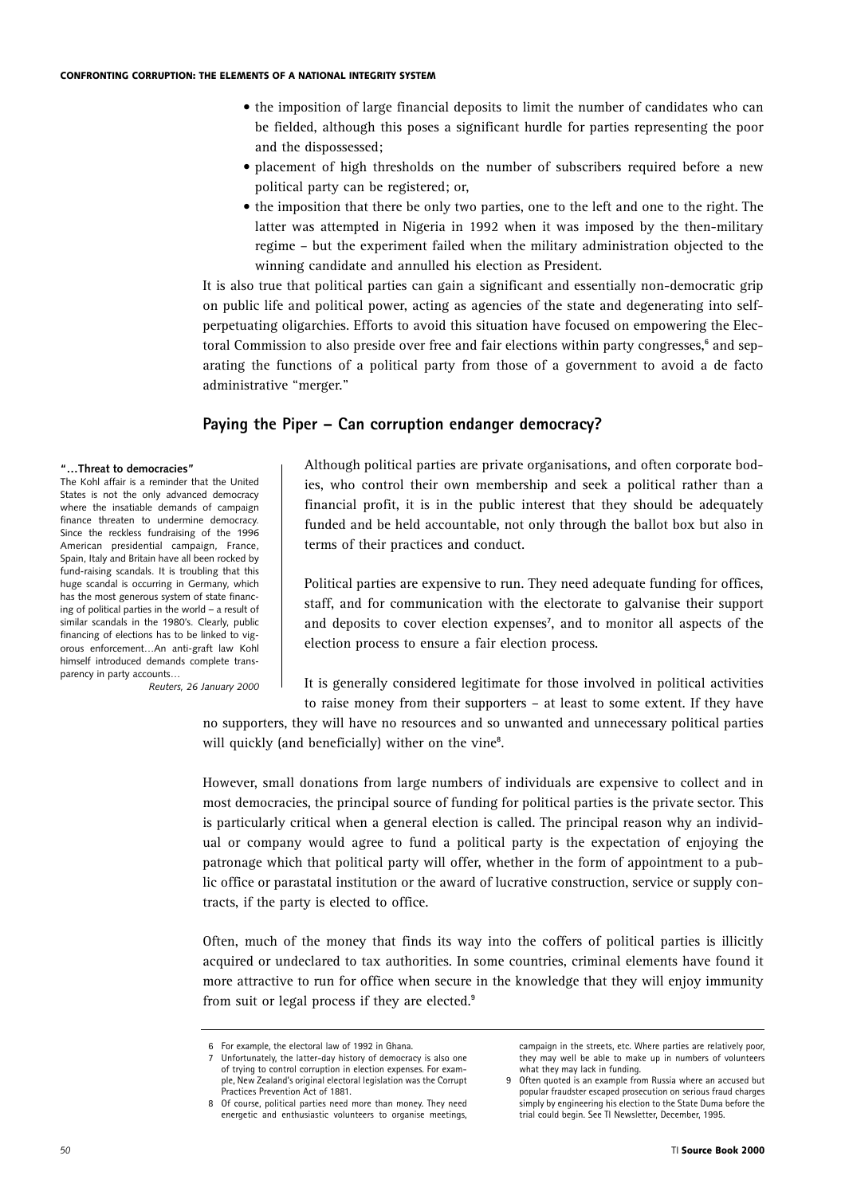- the imposition of large financial deposits to limit the number of candidates who can be fielded, although this poses a significant hurdle for parties representing the poor and the dispossessed;
- placement of high thresholds on the number of subscribers required before a new political party can be registered; or,
- the imposition that there be only two parties, one to the left and one to the right. The latter was attempted in Nigeria in 1992 when it was imposed by the then-military regime – but the experiment failed when the military administration objected to the winning candidate and annulled his election as President.

It is also true that political parties can gain a significant and essentially non-democratic grip on public life and political power, acting as agencies of the state and degenerating into selfperpetuating oligarchies. Efforts to avoid this situation have focused on empowering the Electoral Commission to also preside over free and fair elections within party congresses,**<sup>6</sup>** and separating the functions of a political party from those of a government to avoid a de facto administrative "merger."

## **Paying the Piper – Can corruption endanger democracy?**

#### **"…Threat to democracies"**

The Kohl affair is a reminder that the United States is not the only advanced democracy where the insatiable demands of campaign finance threaten to undermine democracy. Since the reckless fundraising of the 1996 American presidential campaign, France, Spain, Italy and Britain have all been rocked by fund-raising scandals. It is troubling that this huge scandal is occurring in Germany, which has the most generous system of state financing of political parties in the world – a result of similar scandals in the 1980's. Clearly, public financing of elections has to be linked to vigorous enforcement…An anti-graft law Kohl himself introduced demands complete transparency in party accounts…

*Reuters, 26 January 2000*

Although political parties are private organisations, and often corporate bodies, who control their own membership and seek a political rather than a financial profit, it is in the public interest that they should be adequately funded and be held accountable, not only through the ballot box but also in terms of their practices and conduct.

Political parties are expensive to run. They need adequate funding for offices, staff, and for communication with the electorate to galvanise their support and deposits to cover election expenses**<sup>7</sup>** , and to monitor all aspects of the election process to ensure a fair election process.

It is generally considered legitimate for those involved in political activities

to raise money from their supporters – at least to some extent. If they have no supporters, they will have no resources and so unwanted and unnecessary political parties will quickly (and beneficially) wither on the vine<sup>8</sup>.

However, small donations from large numbers of individuals are expensive to collect and in most democracies, the principal source of funding for political parties is the private sector. This is particularly critical when a general election is called. The principal reason why an individual or company would agree to fund a political party is the expectation of enjoying the patronage which that political party will offer, whether in the form of appointment to a public office or parastatal institution or the award of lucrative construction, service or supply contracts, if the party is elected to office.

Often, much of the money that finds its way into the coffers of political parties is illicitly acquired or undeclared to tax authorities. In some countries, criminal elements have found it more attractive to run for office when secure in the knowledge that they will enjoy immunity from suit or legal process if they are elected.**<sup>9</sup>**

campaign in the streets, etc. Where parties are relatively poor, they may well be able to make up in numbers of volunteers what they may lack in funding.

For example, the electoral law of 1992 in Ghana.

Unfortunately, the latter-day history of democracy is also one of trying to control corruption in election expenses. For example, New Zealand's original electoral legislation was the Corrupt .<br>Practices Prevention Act of 1881.

<sup>8</sup> Of course, political parties need more than money. They need energetic and enthusiastic volunteers to organise meetings,

<sup>9</sup> Often quoted is an example from Russia where an accused but popular fraudster escaped prosecution on serious fraud charges simply by engineering his election to the State Duma before the trial could begin. See TI Newsletter, December, 1995.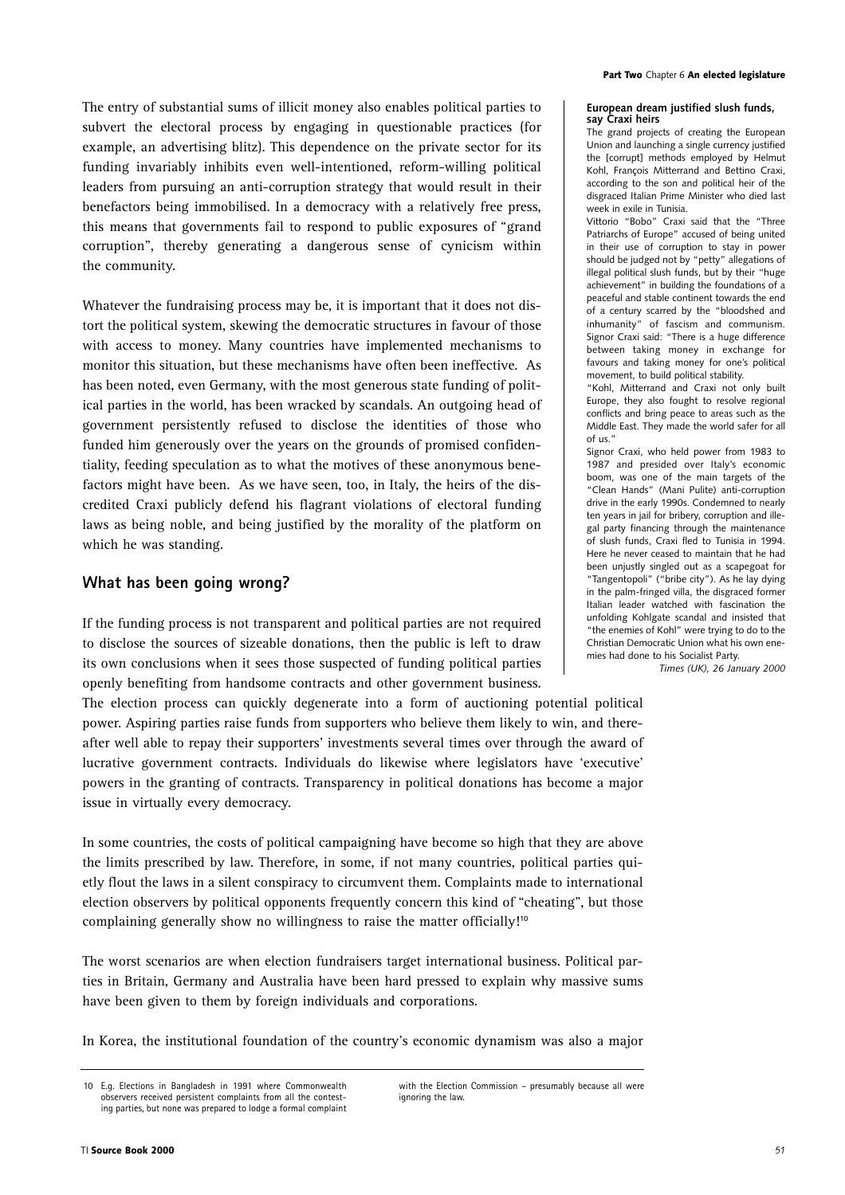The entry of substantial sums of illicit money also enables political parties to subvert the electoral process by engaging in questionable practices (for example, an advertising blitz). This dependence on the private sector for its funding invariably inhibits even well-intentioned, reform-willing political leaders from pursuing an anti-corruption strategy that would result in their benefactors being immobilised. In a democracy with a relatively free press, this means that governments fail to respond to public exposures of "grand corruption", thereby generating a dangerous sense of cynicism within the community.

Whatever the fundraising process may be, it is important that it does not distort the political system, skewing the democratic structures in favour of those with access to money. Many countries have implemented mechanisms to monitor this situation, but these mechanisms have often been ineffective. As has been noted, even Germany, with the most generous state funding of political parties in the world, has been wracked by scandals. An outgoing head of government persistently refused to disclose the identities of those who funded him generously over the years on the grounds of promised confidentiality, feeding speculation as to what the motives of these anonymous benefactors might have been. As we have seen, too, in Italy, the heirs of the discredited Craxi publicly defend his flagrant violations of electoral funding laws as being noble, and being justified by the morality of the platform on which he was standing.

## **What has been going wrong?**

If the funding process is not transparent and political parties are not required to disclose the sources of sizeable donations, then the public is left to draw its own conclusions when it sees those suspected of funding political parties openly benefiting from handsome contracts and other government business.

The election process can quickly degenerate into a form of auctioning potential political power. Aspiring parties raise funds from supporters who believe them likely to win, and thereafter well able to repay their supporters' investments several times over through the award of lucrative government contracts. Individuals do likewise where legislators have 'executive' powers in the granting of contracts. Transparency in political donations has become a major issue in virtually every democracy.

In some countries, the costs of political campaigning have become so high that they are above the limits prescribed by law. Therefore, in some, if not many countries, political parties quietly flout the laws in a silent conspiracy to circumvent them. Complaints made to international election observers by political opponents frequently concern this kind of "cheating", but those complaining generally show no willingness to raise the matter officially!**<sup>10</sup>**

The worst scenarios are when election fundraisers target international business. Political parties in Britain, Germany and Australia have been hard pressed to explain why massive sums have been given to them by foreign individuals and corporations.

In Korea, the institutional foundation of the country's economic dynamism was also a major

#### **European dream justified slush funds, say Craxi heirs**

The grand projects of creating the European Union and launching a single currency justified the [corrupt] methods employed by Helmut Kohl, François Mitterrand and Bettino Craxi, according to the son and political heir of the disgraced Italian Prime Minister who died last week in exile in Tunisia.

Vittorio "Bobo" Craxi said that the "Three Patriarchs of Europe" accused of being united in their use of corruption to stay in power should be judged not by "petty" allegations of illegal political slush funds, but by their "huge achievement" in building the foundations of a peaceful and stable continent towards the end of a century scarred by the "bloodshed and inhumanity" of fascism and communism. Signor Craxi said: "There is a huge difference between taking money in exchange for favours and taking money for one's political movement, to build political stability.

"Kohl, Mitterrand and Craxi not only built Europe, they also fought to resolve regional conflicts and bring peace to areas such as the Middle East. They made the world safer for all of us."

Signor Craxi, who held power from 1983 to 1987 and presided over Italy's economic boom, was one of the main targets of the "Clean Hands" (Mani Pulite) anti-corruption drive in the early 1990s. Condemned to nearly ten years in jail for bribery, corruption and illegal party financing through the maintenance of slush funds, Craxi fled to Tunisia in 1994. Here he never ceased to maintain that he had been unjustly singled out as a scapegoat for "Tangentopoli" ("bribe city"). As he lay dying in the palm-fringed villa, the disgraced former Italian leader watched with fascination the unfolding Kohlgate scandal and insisted that "the enemies of Kohl" were trying to do to the Christian Democratic Union what his own enemies had done to his Socialist Party.

*Times (UK), 26 January 2000*

<sup>10</sup> Eq. Elections in Bangladesh in 1991 where Commonwealth observers received persistent complaints from all the contesting parties, but none was prepared to lodge a formal complaint

with the Election Commission – presumably because all were ignoring the law.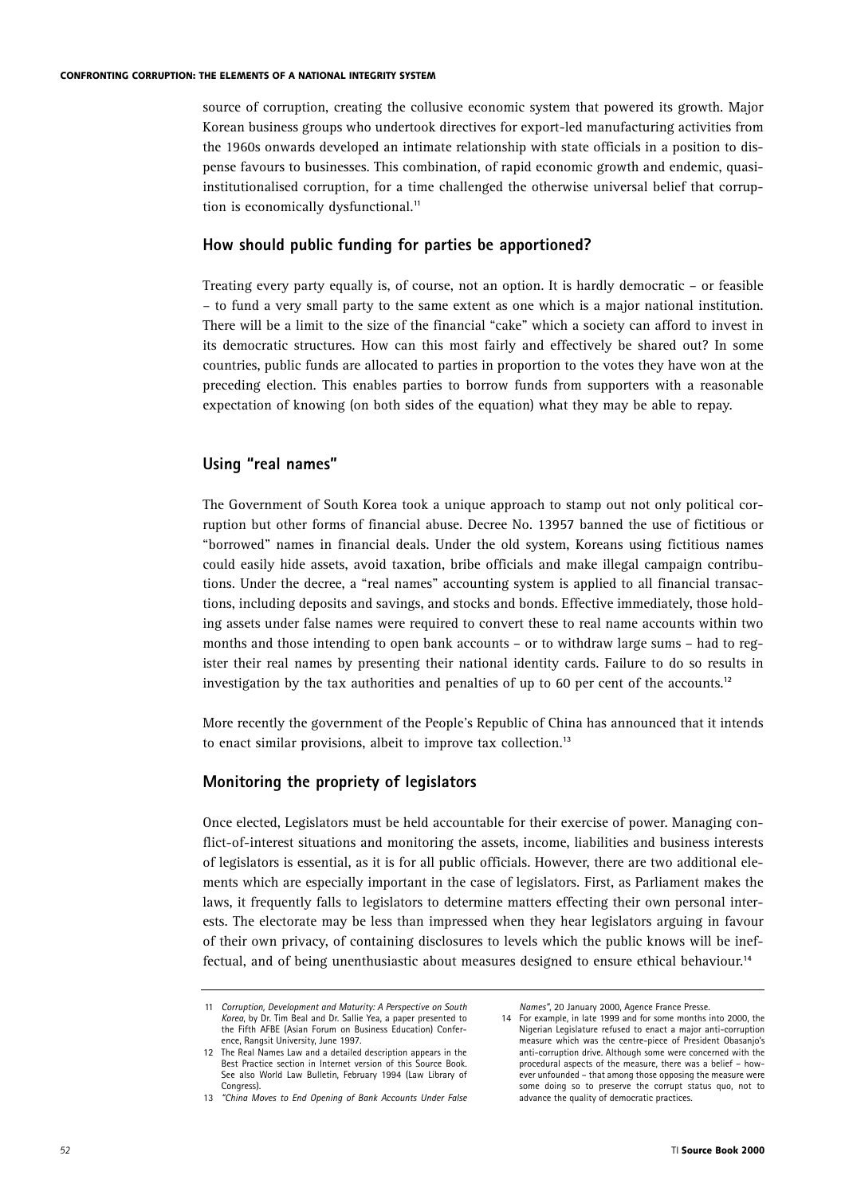source of corruption, creating the collusive economic system that powered its growth. Major Korean business groups who undertook directives for export-led manufacturing activities from the 1960s onwards developed an intimate relationship with state officials in a position to dispense favours to businesses. This combination, of rapid economic growth and endemic, quasiinstitutionalised corruption, for a time challenged the otherwise universal belief that corruption is economically dysfunctional.**<sup>11</sup>**

## **How should public funding for parties be apportioned?**

Treating every party equally is, of course, not an option. It is hardly democratic – or feasible – to fund a very small party to the same extent as one which is a major national institution. There will be a limit to the size of the financial "cake" which a society can afford to invest in its democratic structures. How can this most fairly and effectively be shared out? In some countries, public funds are allocated to parties in proportion to the votes they have won at the preceding election. This enables parties to borrow funds from supporters with a reasonable expectation of knowing (on both sides of the equation) what they may be able to repay.

# **Using "real names"**

The Government of South Korea took a unique approach to stamp out not only political corruption but other forms of financial abuse. Decree No. 13957 banned the use of fictitious or "borrowed" names in financial deals. Under the old system, Koreans using fictitious names could easily hide assets, avoid taxation, bribe officials and make illegal campaign contributions. Under the decree, a "real names" accounting system is applied to all financial transactions, including deposits and savings, and stocks and bonds. Effective immediately, those holding assets under false names were required to convert these to real name accounts within two months and those intending to open bank accounts – or to withdraw large sums – had to register their real names by presenting their national identity cards. Failure to do so results in investigation by the tax authorities and penalties of up to 60 per cent of the accounts.**<sup>12</sup>**

More recently the government of the People's Republic of China has announced that it intends to enact similar provisions, albeit to improve tax collection.**<sup>13</sup>**

# **Monitoring the propriety of legislators**

Once elected, Legislators must be held accountable for their exercise of power. Managing conflict-of-interest situations and monitoring the assets, income, liabilities and business interests of legislators is essential, as it is for all public officials. However, there are two additional elements which are especially important in the case of legislators. First, as Parliament makes the laws, it frequently falls to legislators to determine matters effecting their own personal interests. The electorate may be less than impressed when they hear legislators arguing in favour of their own privacy, of containing disclosures to levels which the public knows will be ineffectual, and of being unenthusiastic about measures designed to ensure ethical behaviour.**<sup>14</sup>**

<sup>11</sup> *Corruption, Development and Maturity: A Perspective on South Korea*, by Dr. Tim Beal and Dr. Sallie Yea, a paper presented to the Fifth AFBE (Asian Forum on Business Education) Conference, Rangsit University, June 1997.

<sup>12</sup> The Real Names Law and a detailed description appears in the Best Practice section in Internet version of this Source Book. See also World Law Bulletin, February 1994 (Law Library of Congress).

<sup>13</sup> *"China Moves to End Opening of Bank Accounts Under False*

*Names"*, 20 January 2000, Agence France Presse.

<sup>14</sup> For example, in late 1999 and for some months into 2000, the Nigerian Legislature refused to enact a major anti-corruption measure which was the centre-piece of President Obasanjo's anti-corruption drive. Although some were concerned with the procedural aspects of the measure, there was a belief – however unfounded – that among those opposing the measure were some doing so to preserve the corrupt status quo, not to advance the quality of democratic practices.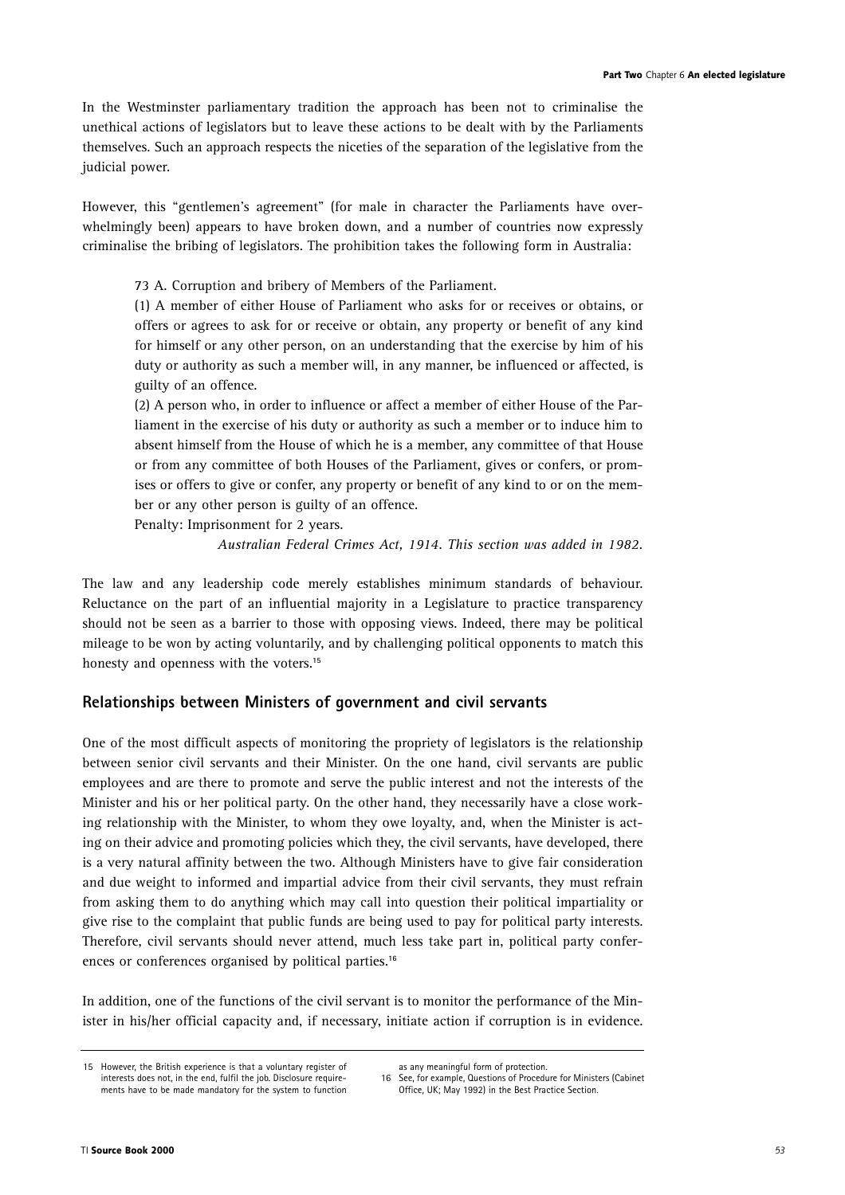In the Westminster parliamentary tradition the approach has been not to criminalise the unethical actions of legislators but to leave these actions to be dealt with by the Parliaments themselves. Such an approach respects the niceties of the separation of the legislative from the judicial power.

However, this "gentlemen's agreement" (for male in character the Parliaments have overwhelmingly been) appears to have broken down, and a number of countries now expressly criminalise the bribing of legislators. The prohibition takes the following form in Australia:

73 A. Corruption and bribery of Members of the Parliament.

(1) A member of either House of Parliament who asks for or receives or obtains, or offers or agrees to ask for or receive or obtain, any property or benefit of any kind for himself or any other person, on an understanding that the exercise by him of his duty or authority as such a member will, in any manner, be influenced or affected, is guilty of an offence.

(2) A person who, in order to influence or affect a member of either House of the Parliament in the exercise of his duty or authority as such a member or to induce him to absent himself from the House of which he is a member, any committee of that House or from any committee of both Houses of the Parliament, gives or confers, or promises or offers to give or confer, any property or benefit of any kind to or on the member or any other person is guilty of an offence.

Penalty: Imprisonment for 2 years.

*Australian Federal Crimes Act, 1914. This section was added in 1982.*

The law and any leadership code merely establishes minimum standards of behaviour. Reluctance on the part of an influential majority in a Legislature to practice transparency should not be seen as a barrier to those with opposing views. Indeed, there may be political mileage to be won by acting voluntarily, and by challenging political opponents to match this honesty and openness with the voters.**<sup>15</sup>**

# **Relationships between Ministers of government and civil servants**

One of the most difficult aspects of monitoring the propriety of legislators is the relationship between senior civil servants and their Minister. On the one hand, civil servants are public employees and are there to promote and serve the public interest and not the interests of the Minister and his or her political party. On the other hand, they necessarily have a close working relationship with the Minister, to whom they owe loyalty, and, when the Minister is acting on their advice and promoting policies which they, the civil servants, have developed, there is a very natural affinity between the two. Although Ministers have to give fair consideration and due weight to informed and impartial advice from their civil servants, they must refrain from asking them to do anything which may call into question their political impartiality or give rise to the complaint that public funds are being used to pay for political party interests. Therefore, civil servants should never attend, much less take part in, political party conferences or conferences organised by political parties.**<sup>16</sup>**

In addition, one of the functions of the civil servant is to monitor the performance of the Minister in his/her official capacity and, if necessary, initiate action if corruption is in evidence.

<sup>15</sup> However, the British experience is that a voluntary register of interests does not, in the end, fulfil the job. Disclosure requirements have to be made mandatory for the system to function

as any meaningful form of protection.

<sup>16</sup> See, for example, Questions of Procedure for Ministers (Cabinet Office, UK; May 1992) in the Best Practice Section.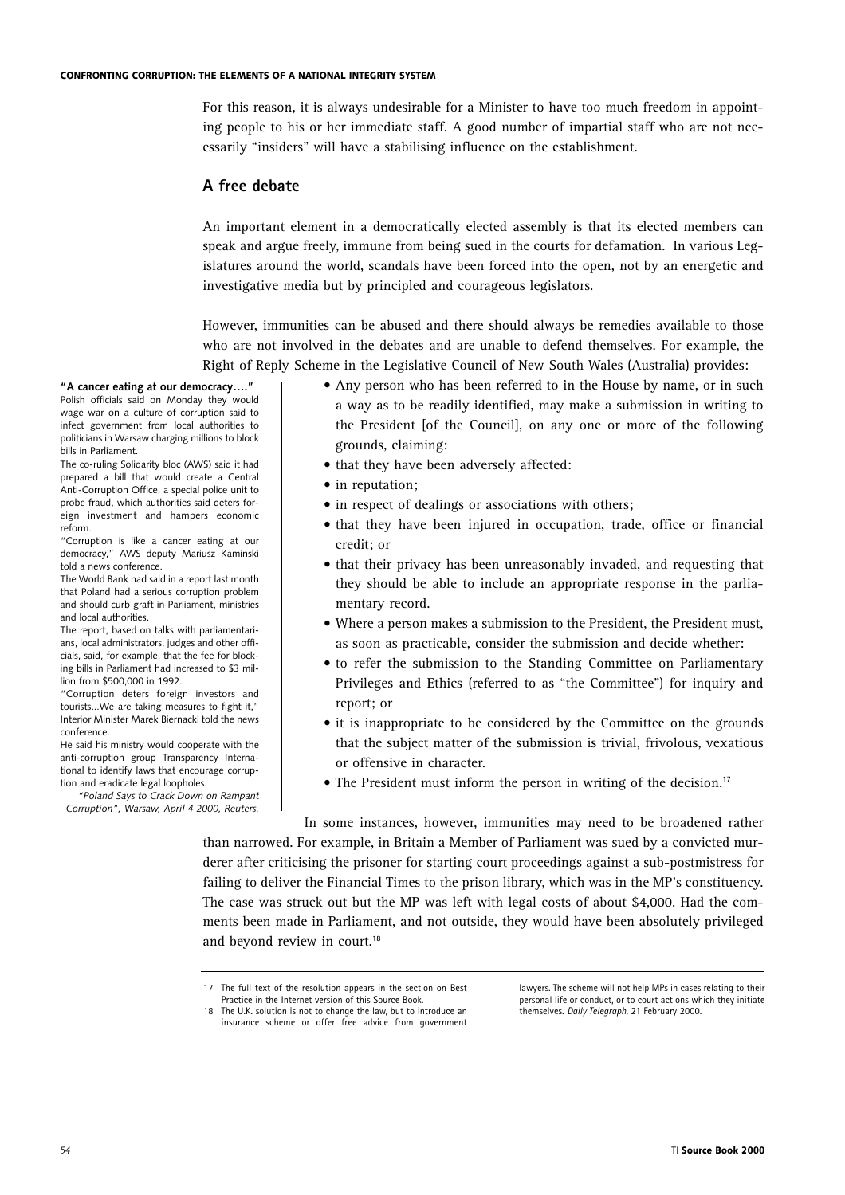For this reason, it is always undesirable for a Minister to have too much freedom in appointing people to his or her immediate staff. A good number of impartial staff who are not necessarily "insiders" will have a stabilising influence on the establishment.

## **A free debate**

An important element in a democratically elected assembly is that its elected members can speak and argue freely, immune from being sued in the courts for defamation. In various Legislatures around the world, scandals have been forced into the open, not by an energetic and investigative media but by principled and courageous legislators.

However, immunities can be abused and there should always be remedies available to those who are not involved in the debates and are unable to defend themselves. For example, the Right of Reply Scheme in the Legislative Council of New South Wales (Australia) provides:

**"A cancer eating at our democracy…."** Polish officials said on Monday they would wage war on a culture of corruption said to infect government from local authorities to politicians in Warsaw charging millions to block bills in Parliament.

The co-ruling Solidarity bloc (AWS) said it had prepared a bill that would create a Central Anti-Corruption Office, a special police unit to probe fraud, which authorities said deters foreign investment and hampers economic reform.

"Corruption is like a cancer eating at our democracy," AWS deputy Mariusz Kaminski told a news conference.

The World Bank had said in a report last month that Poland had a serious corruption problem and should curb graft in Parliament, ministries and local authorities.

The report, based on talks with parliamentarians, local administrators, judges and other officials, said, for example, that the fee for blocking bills in Parliament had increased to \$3 million from \$500,000 in 1992.

"Corruption deters foreign investors and tourists...We are taking measures to fight it," Interior Minister Marek Biernacki told the news conference.

He said his ministry would cooperate with the anti-corruption group Transparency International to identify laws that encourage corruption and eradicate legal loopholes.

*"Poland Says to Crack Down on Rampant Corruption", Warsaw, April 4 2000, Reuters.*

- Any person who has been referred to in the House by name, or in such a way as to be readily identified, may make a submission in writing to the President [of the Council], on any one or more of the following grounds, claiming:
- that they have been adversely affected:
- in reputation;
- in respect of dealings or associations with others;
- that they have been injured in occupation, trade, office or financial credit; or
- that their privacy has been unreasonably invaded, and requesting that they should be able to include an appropriate response in the parliamentary record.
- Where a person makes a submission to the President, the President must, as soon as practicable, consider the submission and decide whether:
- to refer the submission to the Standing Committee on Parliamentary Privileges and Ethics (referred to as "the Committee") for inquiry and report; or
- it is inappropriate to be considered by the Committee on the grounds that the subject matter of the submission is trivial, frivolous, vexatious or offensive in character.
- The President must inform the person in writing of the decision.**<sup>17</sup>**

In some instances, however, immunities may need to be broadened rather than narrowed. For example, in Britain a Member of Parliament was sued by a convicted murderer after criticising the prisoner for starting court proceedings against a sub-postmistress for failing to deliver the Financial Times to the prison library, which was in the MP's constituency. The case was struck out but the MP was left with legal costs of about \$4,000. Had the comments been made in Parliament, and not outside, they would have been absolutely privileged and beyond review in court.**<sup>18</sup>**

<sup>17</sup> The full text of the resolution appears in the section on Best Practice in the Internet version of this Source Book.

<sup>18</sup> The U.K. solution is not to change the law, but to introduce an insurance scheme or offer free advice from government

lawyers. The scheme will not help MPs in cases relating to their personal life or conduct, or to court actions which they initiate themselves. *Daily Telegraph,* 21 February 2000.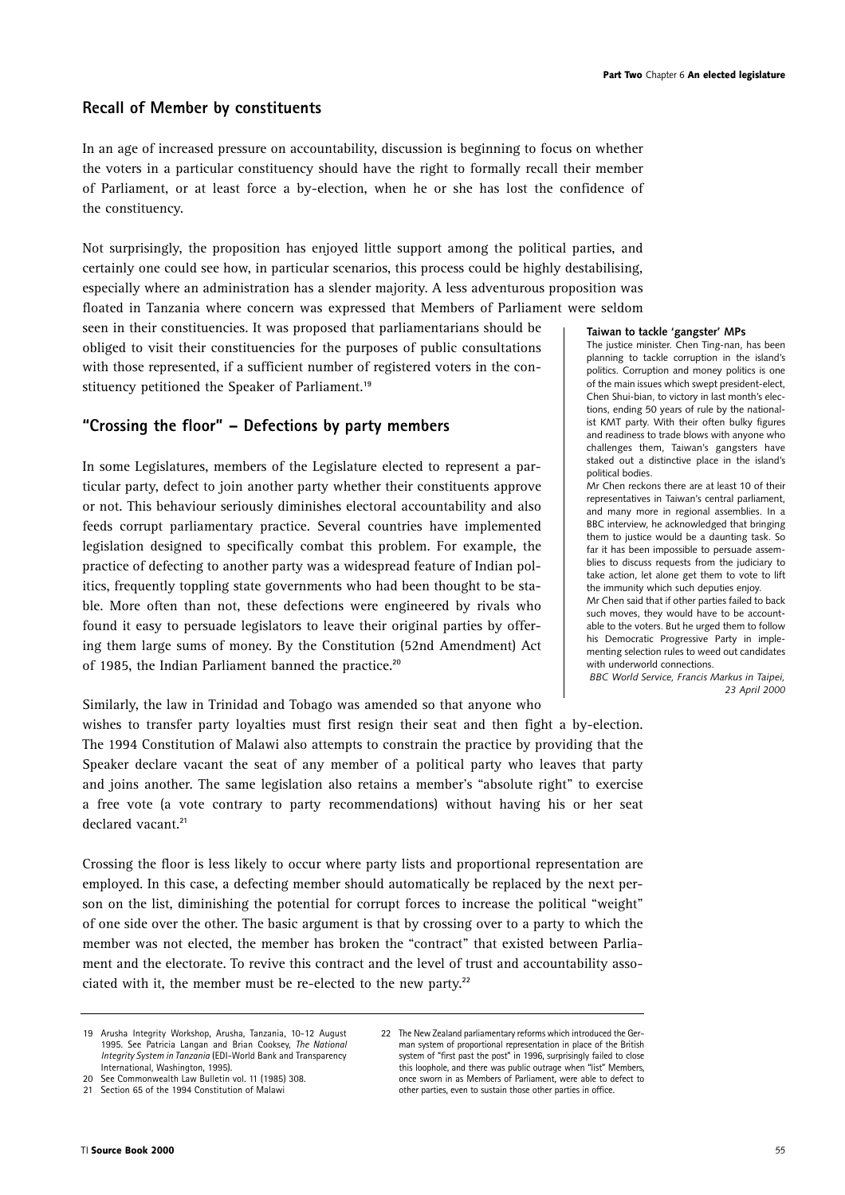# **Recall of Member by constituents**

In an age of increased pressure on accountability, discussion is beginning to focus on whether the voters in a particular constituency should have the right to formally recall their member of Parliament, or at least force a by-election, when he or she has lost the confidence of the constituency.

Not surprisingly, the proposition has enjoyed little support among the political parties, and certainly one could see how, in particular scenarios, this process could be highly destabilising, especially where an administration has a slender majority. A less adventurous proposition was floated in Tanzania where concern was expressed that Members of Parliament were seldom

seen in their constituencies. It was proposed that parliamentarians should be obliged to visit their constituencies for the purposes of public consultations with those represented, if a sufficient number of registered voters in the constituency petitioned the Speaker of Parliament.**<sup>19</sup>**

# **"Crossing the floor" – Defections by party members**

In some Legislatures, members of the Legislature elected to represent a particular party, defect to join another party whether their constituents approve or not. This behaviour seriously diminishes electoral accountability and also feeds corrupt parliamentary practice. Several countries have implemented legislation designed to specifically combat this problem. For example, the practice of defecting to another party was a widespread feature of Indian politics, frequently toppling state governments who had been thought to be stable. More often than not, these defections were engineered by rivals who found it easy to persuade legislators to leave their original parties by offering them large sums of money. By the Constitution (52nd Amendment) Act of 1985, the Indian Parliament banned the practice.**<sup>20</sup>**

Similarly, the law in Trinidad and Tobago was amended so that anyone who

wishes to transfer party loyalties must first resign their seat and then fight a by-election. The 1994 Constitution of Malawi also attempts to constrain the practice by providing that the Speaker declare vacant the seat of any member of a political party who leaves that party and joins another. The same legislation also retains a member's "absolute right" to exercise a free vote (a vote contrary to party recommendations) without having his or her seat declared vacant.**<sup>21</sup>**

Crossing the floor is less likely to occur where party lists and proportional representation are employed. In this case, a defecting member should automatically be replaced by the next person on the list, diminishing the potential for corrupt forces to increase the political "weight" of one side over the other. The basic argument is that by crossing over to a party to which the member was not elected, the member has broken the "contract" that existed between Parliament and the electorate. To revive this contract and the level of trust and accountability associated with it, the member must be re-elected to the new party.**<sup>22</sup>**

#### **Taiwan to tackle 'gangster' MPs**

The justice minister. Chen Ting-nan, has been planning to tackle corruption in the island's politics. Corruption and money politics is one of the main issues which swept president-elect, Chen Shui-bian, to victory in last month's elections, ending 50 years of rule by the nationalist KMT party. With their often bulky figures and readiness to trade blows with anyone who challenges them, Taiwan's gangsters have staked out a distinctive place in the island's political bodies.

Mr Chen reckons there are at least 10 of their representatives in Taiwan's central parliament, and many more in regional assemblies. In a BBC interview, he acknowledged that bringing them to justice would be a daunting task. So far it has been impossible to persuade assemblies to discuss requests from the judiciary to take action, let alone get them to vote to lift the immunity which such deputies enjoy. Mr Chen said that if other parties failed to back such moves, they would have to be account-

able to the voters. But he urged them to follow his Democratic Progressive Party in implementing selection rules to weed out candidates with underworld connections.

*BBC World Service, Francis Markus in Taipei, 23 April 2000*

<sup>19</sup> Arusha Integrity Workshop, Arusha, Tanzania, 10-12 August 1995. See Patricia Langan and Brian Cooksey, *The National Integrity System in Tanzania* (EDI-World Bank and Transparency International, Washington, 1995).

<sup>20</sup> See Commonwealth Law Bulletin vol. 11 (1985) 308.

<sup>21</sup> Section 65 of the 1994 Constitution of Malawi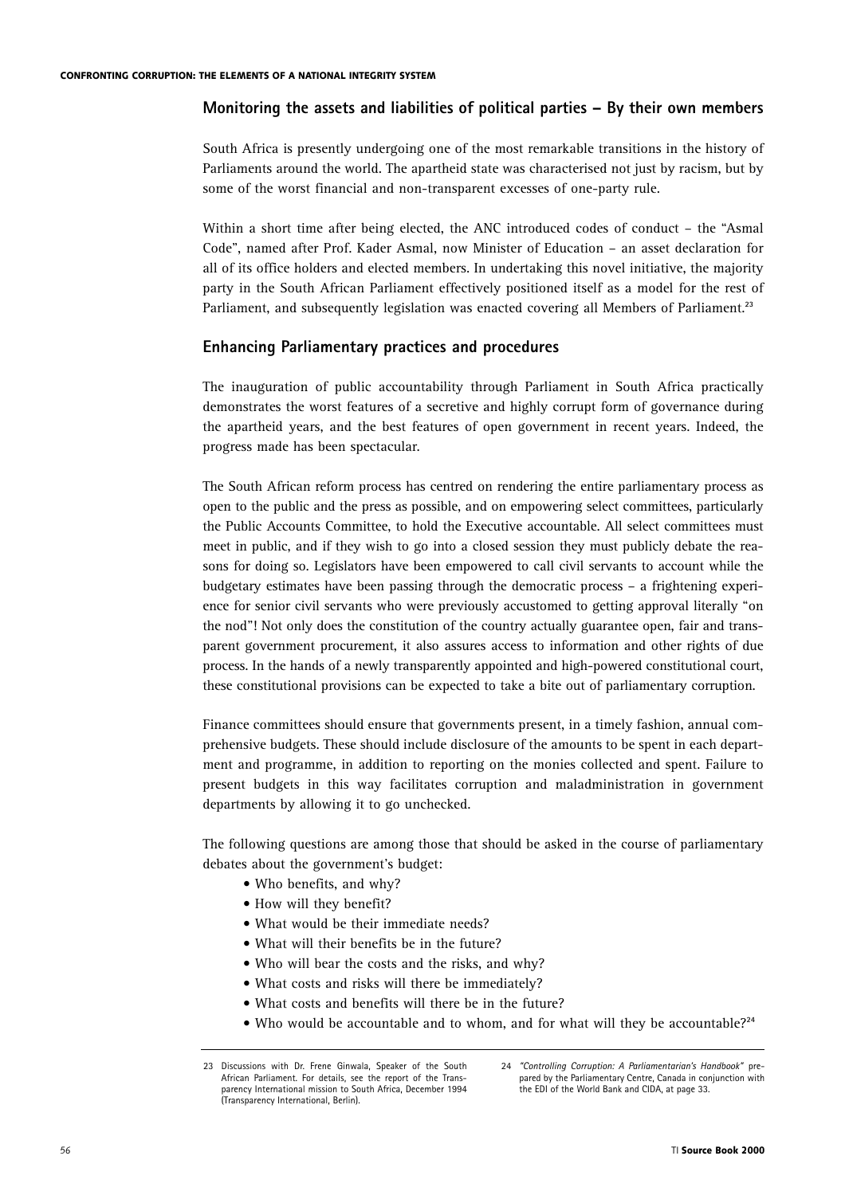## **Monitoring the assets and liabilities of political parties – By their own members**

South Africa is presently undergoing one of the most remarkable transitions in the history of Parliaments around the world. The apartheid state was characterised not just by racism, but by some of the worst financial and non-transparent excesses of one-party rule.

Within a short time after being elected, the ANC introduced codes of conduct – the "Asmal Code", named after Prof. Kader Asmal, now Minister of Education – an asset declaration for all of its office holders and elected members. In undertaking this novel initiative, the majority party in the South African Parliament effectively positioned itself as a model for the rest of Parliament, and subsequently legislation was enacted covering all Members of Parliament.**<sup>23</sup>**

## **Enhancing Parliamentary practices and procedures**

The inauguration of public accountability through Parliament in South Africa practically demonstrates the worst features of a secretive and highly corrupt form of governance during the apartheid years, and the best features of open government in recent years. Indeed, the progress made has been spectacular.

The South African reform process has centred on rendering the entire parliamentary process as open to the public and the press as possible, and on empowering select committees, particularly the Public Accounts Committee, to hold the Executive accountable. All select committees must meet in public, and if they wish to go into a closed session they must publicly debate the reasons for doing so. Legislators have been empowered to call civil servants to account while the budgetary estimates have been passing through the democratic process – a frightening experience for senior civil servants who were previously accustomed to getting approval literally "on the nod"! Not only does the constitution of the country actually guarantee open, fair and transparent government procurement, it also assures access to information and other rights of due process. In the hands of a newly transparently appointed and high-powered constitutional court, these constitutional provisions can be expected to take a bite out of parliamentary corruption.

Finance committees should ensure that governments present, in a timely fashion, annual comprehensive budgets. These should include disclosure of the amounts to be spent in each department and programme, in addition to reporting on the monies collected and spent. Failure to present budgets in this way facilitates corruption and maladministration in government departments by allowing it to go unchecked.

The following questions are among those that should be asked in the course of parliamentary debates about the government's budget:

- Who benefits, and why?
- How will they benefit?
- What would be their immediate needs?
- What will their benefits be in the future?
- Who will bear the costs and the risks, and why?
- What costs and risks will there be immediately?
- What costs and benefits will there be in the future?
- Who would be accountable and to whom, and for what will they be accountable?**<sup>24</sup>**

<sup>23</sup> Discussions with Dr. Frene Ginwala, Speaker of the South African Parliament. For details, see the report of the Transparency International mission to South Africa, December 1994 (Transparency International, Berlin).

<sup>24</sup> *"Controlling Corruption: A Parliamentarian's Handbook"* prepared by the Parliamentary Centre, Canada in conjunction with the EDI of the World Bank and CIDA, at page 33.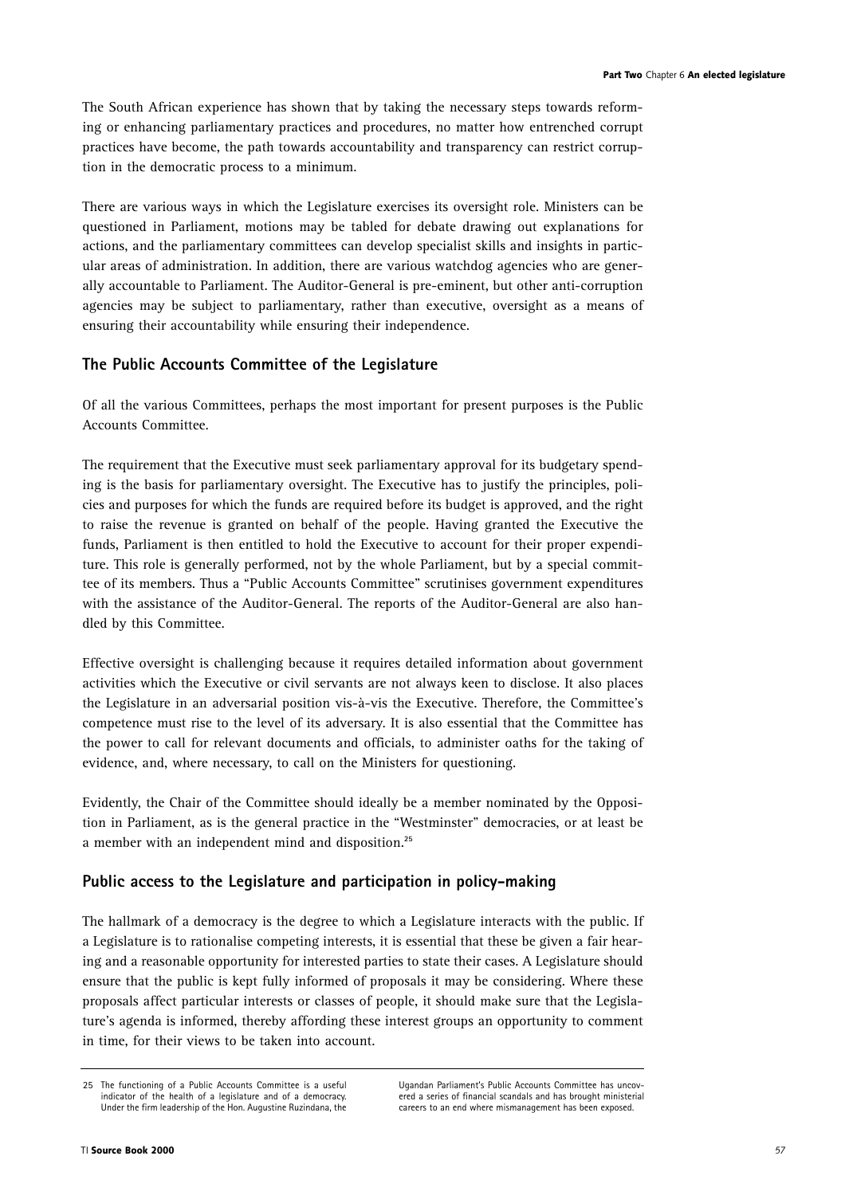The South African experience has shown that by taking the necessary steps towards reforming or enhancing parliamentary practices and procedures, no matter how entrenched corrupt practices have become, the path towards accountability and transparency can restrict corruption in the democratic process to a minimum.

There are various ways in which the Legislature exercises its oversight role. Ministers can be questioned in Parliament, motions may be tabled for debate drawing out explanations for actions, and the parliamentary committees can develop specialist skills and insights in particular areas of administration. In addition, there are various watchdog agencies who are generally accountable to Parliament. The Auditor-General is pre-eminent, but other anti-corruption agencies may be subject to parliamentary, rather than executive, oversight as a means of ensuring their accountability while ensuring their independence.

# **The Public Accounts Committee of the Legislature**

Of all the various Committees, perhaps the most important for present purposes is the Public Accounts Committee.

The requirement that the Executive must seek parliamentary approval for its budgetary spending is the basis for parliamentary oversight. The Executive has to justify the principles, policies and purposes for which the funds are required before its budget is approved, and the right to raise the revenue is granted on behalf of the people. Having granted the Executive the funds, Parliament is then entitled to hold the Executive to account for their proper expenditure. This role is generally performed, not by the whole Parliament, but by a special committee of its members. Thus a "Public Accounts Committee" scrutinises government expenditures with the assistance of the Auditor-General. The reports of the Auditor-General are also handled by this Committee.

Effective oversight is challenging because it requires detailed information about government activities which the Executive or civil servants are not always keen to disclose. It also places the Legislature in an adversarial position vis-à-vis the Executive. Therefore, the Committee's competence must rise to the level of its adversary. It is also essential that the Committee has the power to call for relevant documents and officials, to administer oaths for the taking of evidence, and, where necessary, to call on the Ministers for questioning.

Evidently, the Chair of the Committee should ideally be a member nominated by the Opposition in Parliament, as is the general practice in the "Westminster" democracies, or at least be a member with an independent mind and disposition.**<sup>25</sup>**

# **Public access to the Legislature and participation in policy-making**

The hallmark of a democracy is the degree to which a Legislature interacts with the public. If a Legislature is to rationalise competing interests, it is essential that these be given a fair hearing and a reasonable opportunity for interested parties to state their cases. A Legislature should ensure that the public is kept fully informed of proposals it may be considering. Where these proposals affect particular interests or classes of people, it should make sure that the Legislature's agenda is informed, thereby affording these interest groups an opportunity to comment in time, for their views to be taken into account.

Ugandan Parliament's Public Accounts Committee has uncovered a series of financial scandals and has brought ministerial careers to an end where mismanagement has been exposed.

<sup>25</sup> The functioning of a Public Accounts Committee is a useful indicator of the health of a legislature and of a democracy. Under the firm leadership of the Hon. Augustine Ruzindana, the